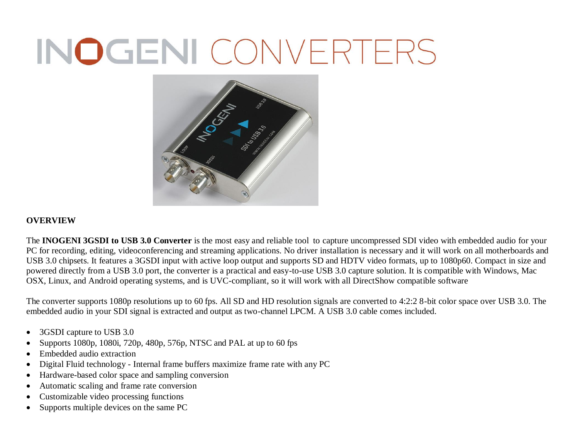## INOGENI CONVERTERS



## **OVERVIEW**

The **INOGENI 3GSDI to USB 3.0 Converter** is the most easy and reliable tool to capture uncompressed SDI video with embedded audio for your PC for recording, editing, videoconferencing and streaming applications. No driver installation is necessary and it will work on all motherboards and USB 3.0 chipsets. It features a 3GSDI input with active loop output and supports SD and HDTV video formats, up to 1080p60. Compact in size and powered directly from a USB 3.0 port, the converter is a practical and easy-to-use USB 3.0 capture solution. It is compatible with Windows, Mac OSX, Linux, and Android operating systems, and is UVC-compliant, so it will work with all DirectShow compatible software

The converter supports 1080p resolutions up to 60 fps. All SD and HD resolution signals are converted to 4:2:2 8-bit color space over USB 3.0. The embedded audio in your SDI signal is extracted and output as two-channel LPCM. A USB 3.0 cable comes included.

- 3GSDI capture to USB 3.0
- Supports 1080p, 1080i, 720p, 480p, 576p, NTSC and PAL at up to 60 fps
- Embedded audio extraction
- Digital Fluid technology Internal frame buffers maximize frame rate with any PC
- Hardware-based color space and sampling conversion
- Automatic scaling and frame rate conversion
- Customizable video processing functions
- Supports multiple devices on the same PC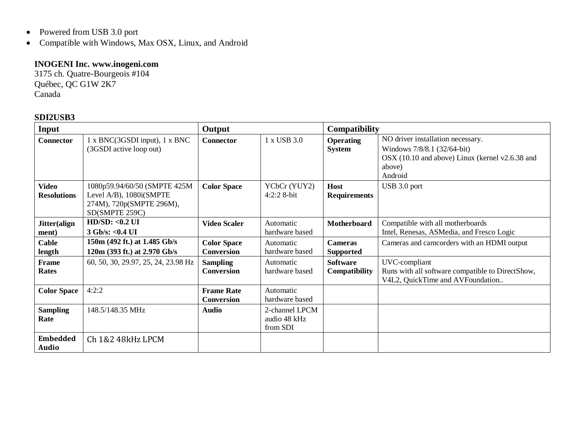- Powered from USB 3.0 port
- Compatible with Windows, Max OSX, Linux, and Android

## **INOGENI Inc. www.inogeni.com**

3175 ch. Quatre-Bourgeois #104 Québec, QC G1W 2K7 Canada

## **SDI2USB3**

| Input                              |                                                                                                       | Output                                  |                                            | <b>Compatibility</b>                    |                                                                                                                                          |
|------------------------------------|-------------------------------------------------------------------------------------------------------|-----------------------------------------|--------------------------------------------|-----------------------------------------|------------------------------------------------------------------------------------------------------------------------------------------|
| <b>Connector</b>                   | 1 x BNC(3GSDI input), 1 x BNC<br>(3GSDI active loop out)                                              | <b>Connector</b>                        | 1 x USB 3.0                                | <b>Operating</b><br><b>System</b>       | NO driver installation necessary.<br>Windows 7/8/8.1 (32/64-bit)<br>OSX (10.10 and above) Linux (kernel v2.6.38 and<br>above)<br>Android |
| <b>Video</b><br><b>Resolutions</b> | 1080p59.94/60/50 (SMPTE 425M<br>Level A/B), 1080i(SMPTE<br>274M), 720p(SMPTE 296M),<br>SD(SMPTE 259C) | <b>Color Space</b>                      | YCbCr (YUY2)<br>$4:2:28-bit$               | Host<br><b>Requirements</b>             | USB 3.0 port                                                                                                                             |
| Jitter(align<br>ment)              | $HD/SD: <0.2$ UI<br>3 Gb/s: < 0.4 UI                                                                  | <b>Video Scaler</b>                     | Automatic<br>hardware based                | <b>Motherboard</b>                      | Compatible with all motherboards<br>Intel, Renesas, ASMedia, and Fresco Logic                                                            |
| Cable<br>length                    | 150m (492 ft.) at 1.485 Gb/s<br>120m (393 ft.) at 2.970 Gb/s                                          | <b>Color Space</b><br><b>Conversion</b> | Automatic<br>hardware based                | <b>Cameras</b><br><b>Supported</b>      | Cameras and camcorders with an HDMI output                                                                                               |
| Frame<br><b>Rates</b>              | 60, 50, 30, 29.97, 25, 24, 23.98 Hz                                                                   | <b>Sampling</b><br>Conversion           | Automatic<br>hardware based                | <b>Software</b><br><b>Compatibility</b> | UVC-compliant<br>Runs with all software compatible to DirectShow,<br>V4L2, QuickTime and AVFoundation                                    |
| <b>Color Space</b>                 | 4:2:2                                                                                                 | <b>Frame Rate</b><br>Conversion         | Automatic<br>hardware based                |                                         |                                                                                                                                          |
| <b>Sampling</b><br>Rate            | 148.5/148.35 MHz                                                                                      | <b>Audio</b>                            | 2-channel LPCM<br>audio 48 kHz<br>from SDI |                                         |                                                                                                                                          |
| <b>Embedded</b><br>Audio           | Ch 1&2 48kHz LPCM                                                                                     |                                         |                                            |                                         |                                                                                                                                          |